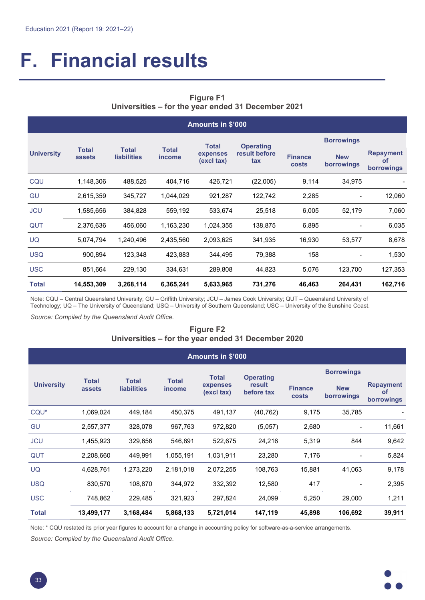# **F. Financial results**

# **Figure F1 Universities – for the year ended 31 December 2021**

| <b>Amounts in \$'000</b> |                        |                                    |                               |                        |                      |                         |                          |                                             |  |
|--------------------------|------------------------|------------------------------------|-------------------------------|------------------------|----------------------|-------------------------|--------------------------|---------------------------------------------|--|
|                          |                        |                                    |                               | <b>Total</b>           | <b>Operating</b>     | <b>Borrowings</b>       |                          |                                             |  |
| <b>University</b>        | <b>Total</b><br>assets | <b>Total</b><br><b>liabilities</b> | <b>Total</b><br><i>income</i> | expenses<br>(excl tax) | result before<br>tax | <b>Finance</b><br>costs | <b>New</b><br>borrowings | <b>Repayment</b><br><b>of</b><br>borrowings |  |
| CQU                      | 1,148,306              | 488,525                            | 404,716                       | 426,721                | (22,005)             | 9,114                   | 34,975                   |                                             |  |
| GU                       | 2,615,359              | 345,727                            | 1,044,029                     | 921,287                | 122,742              | 2,285                   |                          | 12,060                                      |  |
| <b>JCU</b>               | 1,585,656              | 384,828                            | 559,192                       | 533,674                | 25,518               | 6,005                   | 52,179                   | 7,060                                       |  |
| QUT                      | 2,376,636              | 456,060                            | 1,163,230                     | 1,024,355              | 138,875              | 6,895                   |                          | 6,035                                       |  |
| <b>UQ</b>                | 5,074,794              | 1,240,496                          | 2,435,560                     | 2,093,625              | 341,935              | 16,930                  | 53,577                   | 8,678                                       |  |
| <b>USQ</b>               | 900,894                | 123,348                            | 423,883                       | 344,495                | 79,388               | 158                     |                          | 1,530                                       |  |
| <b>USC</b>               | 851,664                | 229,130                            | 334,631                       | 289,808                | 44,823               | 5,076                   | 123,700                  | 127,353                                     |  |
| <b>Total</b>             | 14,553,309             | 3,268,114                          | 6,365,241                     | 5,633,965              | 731,276              | 46,463                  | 264,431                  | 162,716                                     |  |

Note: CQU – Central Queensland University; GU – Griffith University; JCU – James Cook University; QUT – Queensland University of Technology; UQ – The University of Queensland; USQ – University of Southern Queensland; USC – University of the Sunshine Coast.

*Source: Compiled by the Queensland Audit Office.*

### **Figure F2 Universities – for the year ended 31 December 2020**

|                   |                        |                                    |                        | <b>Amounts in \$'000</b> |                      |                                |                          |                                             |  |
|-------------------|------------------------|------------------------------------|------------------------|--------------------------|----------------------|--------------------------------|--------------------------|---------------------------------------------|--|
|                   |                        |                                    |                        | <b>Total</b>             | <b>Operating</b>     | <b>Borrowings</b>              |                          |                                             |  |
| <b>University</b> | <b>Total</b><br>assets | <b>Total</b><br><b>liabilities</b> | <b>Total</b><br>income | expenses<br>(excl tax)   | result<br>before tax | <b>Finance</b><br><b>costs</b> | <b>New</b><br>borrowings | <b>Repayment</b><br><b>of</b><br>borrowings |  |
| CQU <sup>*</sup>  | 1,069,024              | 449,184                            | 450,375                | 491,137                  | (40, 762)            | 9,175                          | 35,785                   |                                             |  |
| GU                | 2,557,377              | 328,078                            | 967,763                | 972,820                  | (5,057)              | 2,680                          |                          | 11,661                                      |  |
| <b>JCU</b>        | 1,455,923              | 329,656                            | 546,891                | 522,675                  | 24,216               | 5,319                          | 844                      | 9,642                                       |  |
| QUT               | 2,208,660              | 449,991                            | 1,055,191              | 1,031,911                | 23,280               | 7,176                          |                          | 5,824                                       |  |
| <b>UQ</b>         | 4,628,761              | 1,273,220                          | 2,181,018              | 2,072,255                | 108,763              | 15,881                         | 41,063                   | 9,178                                       |  |
| <b>USQ</b>        | 830,570                | 108,870                            | 344,972                | 332,392                  | 12,580               | 417                            |                          | 2,395                                       |  |
| <b>USC</b>        | 748,862                | 229,485                            | 321,923                | 297,824                  | 24,099               | 5,250                          | 29,000                   | 1,211                                       |  |
| Total             | 13,499,177             | 3,168,484                          | 5,868,133              | 5,721,014                | 147,119              | 45,898                         | 106,692                  | 39,911                                      |  |

Note: \* CQU restated its prior year figures to account for a change in accounting policy for software-as-a-service arrangements.

*Source: Compiled by the Queensland Audit Office.*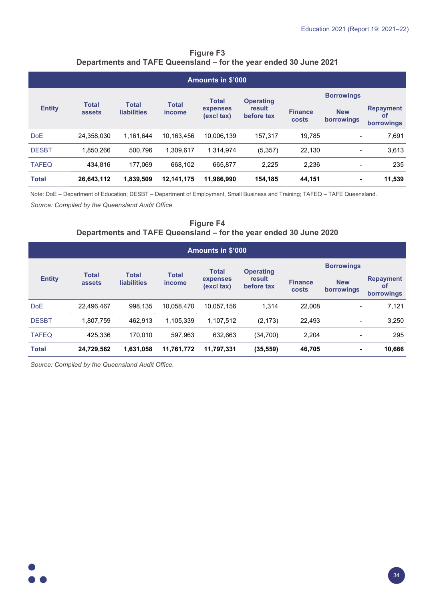| <b>Figure F3</b>                                                  |  |
|-------------------------------------------------------------------|--|
| Departments and TAFE Queensland – for the year ended 30 June 2021 |  |

|               | <b>Amounts in \$'000</b> |                                    |                        |                        |                      |                                |                          |                                             |  |  |
|---------------|--------------------------|------------------------------------|------------------------|------------------------|----------------------|--------------------------------|--------------------------|---------------------------------------------|--|--|
|               |                          |                                    |                        | <b>Total</b>           | <b>Operating</b>     | <b>Borrowings</b>              |                          |                                             |  |  |
| <b>Entity</b> | <b>Total</b><br>assets   | <b>Total</b><br><b>liabilities</b> | <b>Total</b><br>income | expenses<br>(excl tax) | result<br>before tax | <b>Finance</b><br><b>costs</b> | <b>New</b><br>borrowings | <b>Repayment</b><br><b>of</b><br>borrowings |  |  |
| <b>DoE</b>    | 24,358,030               | 1,161,644                          | 10.163.456             | 10,006,139             | 157.317              | 19.785                         | $\blacksquare$           | 7,691                                       |  |  |
| <b>DESBT</b>  | 1.850.266                | 500.796                            | 1.309.617              | 1.314.974              | (5, 357)             | 22.130                         |                          | 3,613                                       |  |  |
| <b>TAFEQ</b>  | 434.816                  | 177.069                            | 668.102                | 665.877                | 2,225                | 2,236                          | $\blacksquare$           | 235                                         |  |  |
| <b>Total</b>  | 26,643,112               | 1,839,509                          | 12,141,175             | 11,986,990             | 154,185              | 44,151                         | ۰                        | 11,539                                      |  |  |

Note: DoE – Department of Education; DESBT – Department of Employment, Small Business and Training; TAFEQ – TAFE Queensland.

*Source: Compiled by the Queensland Audit Office.*

# **Figure F4 Departments and TAFE Queensland – for the year ended 30 June 2020**

| Amounts in \$'000 |                        |                                    |                               |                        |                      |                         |                          |                                             |  |
|-------------------|------------------------|------------------------------------|-------------------------------|------------------------|----------------------|-------------------------|--------------------------|---------------------------------------------|--|
|                   |                        |                                    |                               | <b>Total</b>           | <b>Operating</b>     | <b>Borrowings</b>       |                          |                                             |  |
| <b>Entity</b>     | <b>Total</b><br>assets | <b>Total</b><br><b>liabilities</b> | <b>Total</b><br><i>income</i> | expenses<br>(excl tax) | result<br>before tax | <b>Finance</b><br>costs | <b>New</b><br>borrowings | <b>Repayment</b><br><b>of</b><br>borrowings |  |
| <b>DoE</b>        | 22.496.467             | 998,135                            | 10.058.470                    | 10.057.156             | 1.314                | 22,008                  | $\blacksquare$           | 7,121                                       |  |
| <b>DESBT</b>      | 1,807,759              | 462.913                            | 1,105,339                     | 1,107,512              | (2, 173)             | 22,493                  | $\overline{\phantom{0}}$ | 3,250                                       |  |
| <b>TAFEQ</b>      | 425.336                | 170.010                            | 597.963                       | 632.663                | (34,700)             | 2,204                   |                          | 295                                         |  |
| <b>Total</b>      | 24,729,562             | 1,631,058                          | 11,761,772                    | 11,797,331             | (35, 559)            | 46,705                  | ۰                        | 10,666                                      |  |

*Source: Compiled by the Queensland Audit Office.*